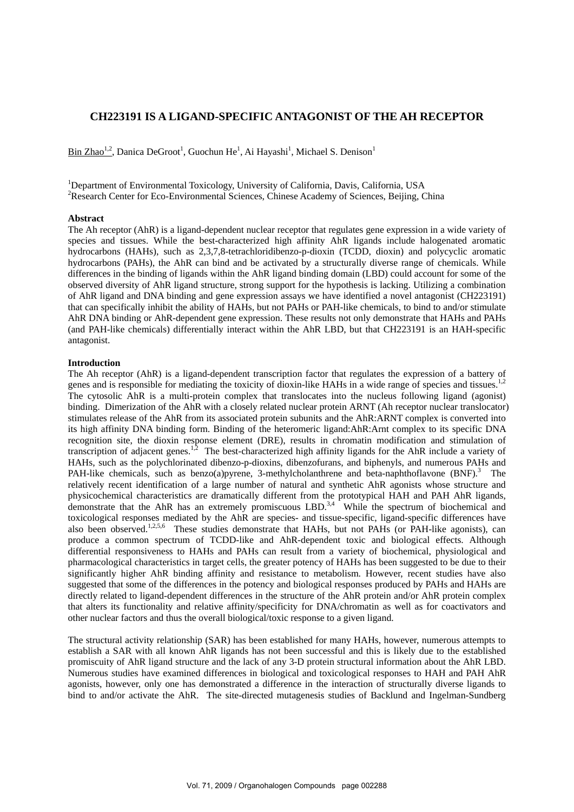# **CH223191 IS A LIGAND-SPECIFIC ANTAGONIST OF THE AH RECEPTOR**

 $\overline{\text{Bin Zhao}^{1,2}}$ , Danica DeGroot<sup>1</sup>, Guochun He<sup>1</sup>, Ai Hayashi<sup>1</sup>, Michael S. Denison<sup>1</sup>

<sup>1</sup>Department of Environmental Toxicology, University of California, Davis, California, USA <sup>2</sup>Research Center for Eco-Environmental Sciences, Chinese Academy of Sciences, Beijing, China

# **Abstract**

The Ah receptor (AhR) is a ligand-dependent nuclear receptor that regulates gene expression in a wide variety of species and tissues. While the best-characterized high affinity AhR ligands include halogenated aromatic hydrocarbons (HAHs), such as 2,3,7,8-tetrachloridibenzo-p-dioxin (TCDD, dioxin) and polycyclic aromatic hydrocarbons (PAHs), the AhR can bind and be activated by a structurally diverse range of chemicals. While differences in the binding of ligands within the AhR ligand binding domain (LBD) could account for some of the observed diversity of AhR ligand structure, strong support for the hypothesis is lacking. Utilizing a combination of AhR ligand and DNA binding and gene expression assays we have identified a novel antagonist (CH223191) that can specifically inhibit the ability of HAHs, but not PAHs or PAH-like chemicals, to bind to and/or stimulate AhR DNA binding or AhR-dependent gene expression. These results not only demonstrate that HAHs and PAHs (and PAH-like chemicals) differentially interact within the AhR LBD, but that CH223191 is an HAH-specific antagonist.

# **Introduction**

The Ah receptor (AhR) is a ligand-dependent transcription factor that regulates the expression of a battery of genes and is responsible for mediating the toxicity of dioxin-like HAHs in a wide range of species and tissues.<sup>1,2</sup> The cytosolic AhR is a multi-protein complex that translocates into the nucleus following ligand (agonist) binding. Dimerization of the AhR with a closely related nuclear protein ARNT (Ah receptor nuclear translocator) stimulates release of the AhR from its associated protein subunits and the AhR:ARNT complex is converted into its high affinity DNA binding form. Binding of the heteromeric ligand:AhR:Arnt complex to its specific DNA recognition site, the dioxin response element (DRE), results in chromatin modification and stimulation of transcription of adjacent genes.<sup>1,2</sup> The best-characterized high affinity ligands for the AhR include a variety of HAHs, such as the polychlorinated dibenzo-p-dioxins, dibenzofurans, and biphenyls, and numerous PAHs and PAH-like chemicals, such as benzo(a)pyrene, 3-methylcholanthrene and beta-naphthoflavone (BNF).<sup>3</sup> The relatively recent identification of a large number of natural and synthetic AhR agonists whose structure and physicochemical characteristics are dramatically different from the prototypical HAH and PAH AhR ligands, demonstrate that the AhR has an extremely promiscuous LBD.<sup>3,4</sup> While the spectrum of biochemical and toxicological responses mediated by the AhR are species- and tissue-specific, ligand-specific differences have also been observed.<sup>1,2,5,6</sup> These studies demonstrate that HAHs, but not PAHs (or PAH-like agonists), can produce a common spectrum of TCDD-like and AhR-dependent toxic and biological effects. Although differential responsiveness to HAHs and PAHs can result from a variety of biochemical, physiological and pharmacological characteristics in target cells, the greater potency of HAHs has been suggested to be due to their significantly higher AhR binding affinity and resistance to metabolism. However, recent studies have also suggested that some of the differences in the potency and biological responses produced by PAHs and HAHs are directly related to ligand-dependent differences in the structure of the AhR protein and/or AhR protein complex that alters its functionality and relative affinity/specificity for DNA/chromatin as well as for coactivators and other nuclear factors and thus the overall biological/toxic response to a given ligand.

The structural activity relationship (SAR) has been established for many HAHs, however, numerous attempts to establish a SAR with all known AhR ligands has not been successful and this is likely due to the established promiscuity of AhR ligand structure and the lack of any 3-D protein structural information about the AhR LBD. Numerous studies have examined differences in biological and toxicological responses to HAH and PAH AhR agonists, however, only one has demonstrated a difference in the interaction of structurally diverse ligands to bind to and/or activate the AhR. The site-directed mutagenesis studies of Backlund and Ingelman-Sundberg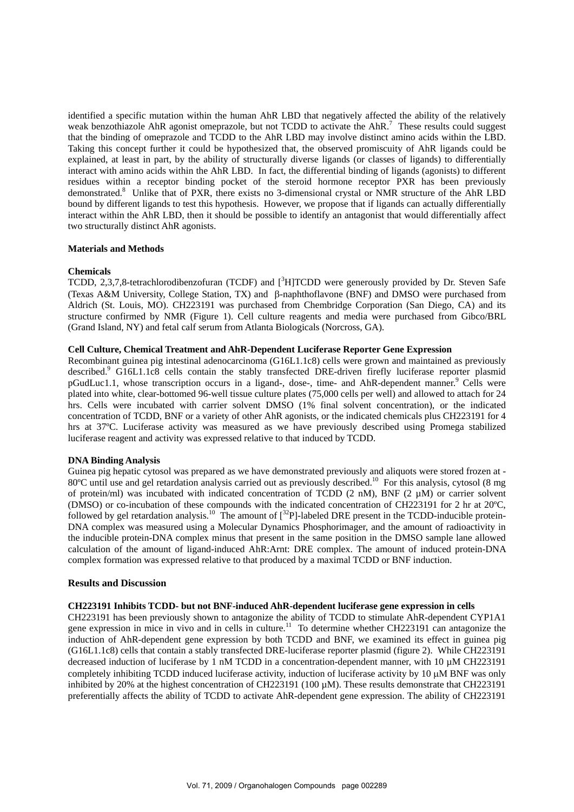identified a specific mutation within the human AhR LBD that negatively affected the ability of the relatively weak benzothiazole AhR agonist omeprazole, but not TCDD to activate the AhR.<sup>7</sup> These results could suggest that the binding of omeprazole and TCDD to the AhR LBD may involve distinct amino acids within the LBD. Taking this concept further it could be hypothesized that, the observed promiscuity of AhR ligands could be explained, at least in part, by the ability of structurally diverse ligands (or classes of ligands) to differentially interact with amino acids within the AhR LBD. In fact, the differential binding of ligands (agonists) to different residues within a receptor binding pocket of the steroid hormone receptor PXR has been previously demonstrated.<sup>8</sup> Unlike that of PXR, there exists no 3-dimensional crystal or NMR structure of the AhR LBD bound by different ligands to test this hypothesis. However, we propose that if ligands can actually differentially interact within the AhR LBD, then it should be possible to identify an antagonist that would differentially affect two structurally distinct AhR agonists.

### **Materials and Methods**

# **Chemicals**

TCDD, 2,3,7,8-tetrachlorodibenzofuran (TCDF) and [<sup>3</sup>H]TCDD were generously provided by Dr. Steven Safe (Texas A&M University, College Station, TX) and β-naphthoflavone (BNF) and DMSO were purchased from Aldrich (St. Louis, MO). CH223191 was purchased from Chembridge Corporation (San Diego, CA) and its structure confirmed by NMR (Figure 1). Cell culture reagents and media were purchased from Gibco/BRL (Grand Island, NY) and fetal calf serum from Atlanta Biologicals (Norcross, GA).

# **Cell Culture, Chemical Treatment and AhR-Dependent Luciferase Reporter Gene Expression**

Recombinant guinea pig intestinal adenocarcinoma (G16L1.1c8) cells were grown and maintained as previously described.<sup>9</sup> G16L1.1c8 cells contain the stably transfected DRE-driven firefly luciferase reporter plasmid pGudLuc1.1, whose transcription occurs in a ligand-, dose-, time- and AhR-dependent manner.<sup>9</sup> Cells were plated into white, clear-bottomed 96-well tissue culture plates (75,000 cells per well) and allowed to attach for 24 hrs. Cells were incubated with carrier solvent DMSO (1% final solvent concentration), or the indicated concentration of TCDD, BNF or a variety of other AhR agonists, or the indicated chemicals plus CH223191 for 4 hrs at 37ºC. Luciferase activity was measured as we have previously described using Promega stabilized luciferase reagent and activity was expressed relative to that induced by TCDD.

# **DNA Binding Analysis**

Guinea pig hepatic cytosol was prepared as we have demonstrated previously and aliquots were stored frozen at - 80°C until use and gel retardation analysis carried out as previously described.<sup>10</sup> For this analysis, cytosol (8 mg of protein/ml) was incubated with indicated concentration of TCDD  $(2 \text{ nM})$ , BNF  $(2 \mu \text{M})$  or carrier solvent (DMSO) or co-incubation of these compounds with the indicated concentration of CH223191 for 2 hr at 20ºC, followed by gel retardation analysis.<sup>10</sup> The amount of  $\int^{32}P$ ]-labeled DRE present in the TCDD-inducible protein-DNA complex was measured using a Molecular Dynamics Phosphorimager, and the amount of radioactivity in the inducible protein-DNA complex minus that present in the same position in the DMSO sample lane allowed calculation of the amount of ligand-induced AhR:Arnt: DRE complex. The amount of induced protein-DNA complex formation was expressed relative to that produced by a maximal TCDD or BNF induction.

# **Results and Discussion**

### **CH223191 Inhibits TCDD- but not BNF-induced AhR-dependent luciferase gene expression in cells**

CH223191 has been previously shown to antagonize the ability of TCDD to stimulate AhR-dependent CYP1A1 gene expression in mice in vivo and in cells in culture.<sup>11</sup> To determine whether CH223191 can antagonize the induction of AhR-dependent gene expression by both TCDD and BNF, we examined its effect in guinea pig (G16L1.1c8) cells that contain a stably transfected DRE-luciferase reporter plasmid (figure 2). While CH223191 decreased induction of luciferase by 1 nM TCDD in a concentration-dependent manner, with 10  $\mu$ M CH223191 completely inhibiting TCDD induced luciferase activity, induction of luciferase activity by 10 μΜ BNF was only inhibited by 20% at the highest concentration of CH223191 (100 µM). These results demonstrate that CH223191 preferentially affects the ability of TCDD to activate AhR-dependent gene expression. The ability of CH223191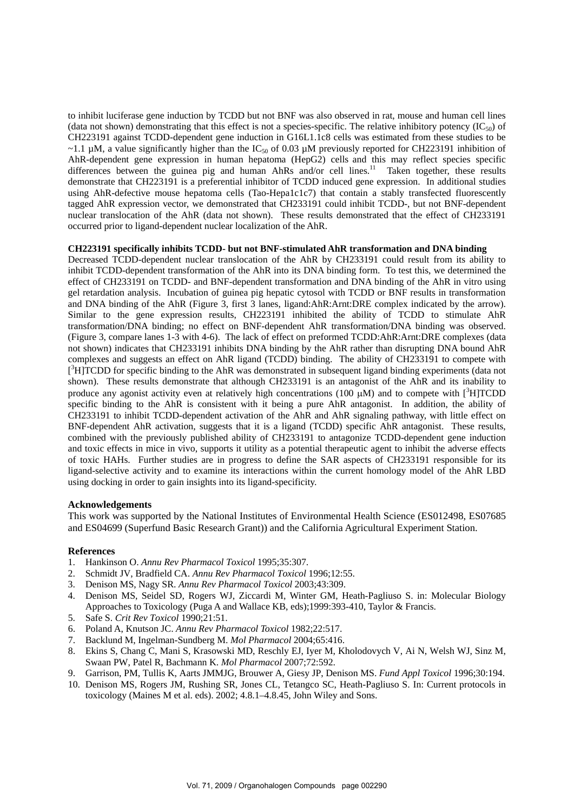to inhibit luciferase gene induction by TCDD but not BNF was also observed in rat, mouse and human cell lines (data not shown) demonstrating that this effect is not a species-specific. The relative inhibitory potency  $(IC_{50})$  of CH223191 against TCDD-dependent gene induction in G16L1.1c8 cells was estimated from these studies to be ~1.1 µM, a value significantly higher than the IC<sub>50</sub> of 0.03 µM previously reported for CH223191 inhibition of AhR-dependent gene expression in human hepatoma (HepG2) cells and this may reflect species specific differences between the guinea pig and human AhRs and/or cell lines.<sup>11</sup> Taken together, these results demonstrate that CH223191 is a preferential inhibitor of TCDD induced gene expression. In additional studies using AhR-defective mouse hepatoma cells (Tao-Hepa1c1c7) that contain a stably transfected fluorescently tagged AhR expression vector, we demonstrated that CH233191 could inhibit TCDD-, but not BNF-dependent nuclear translocation of the AhR (data not shown). These results demonstrated that the effect of CH233191 occurred prior to ligand-dependent nuclear localization of the AhR.

# **CH223191 specifically inhibits TCDD- but not BNF-stimulated AhR transformation and DNA binding**

Decreased TCDD-dependent nuclear translocation of the AhR by CH233191 could result from its ability to inhibit TCDD-dependent transformation of the AhR into its DNA binding form. To test this, we determined the effect of CH233191 on TCDD- and BNF-dependent transformation and DNA binding of the AhR in vitro using gel retardation analysis. Incubation of guinea pig hepatic cytosol with TCDD or BNF results in transformation and DNA binding of the AhR (Figure 3, first 3 lanes, ligand:AhR:Arnt:DRE complex indicated by the arrow). Similar to the gene expression results, CH223191 inhibited the ability of TCDD to stimulate AhR transformation/DNA binding; no effect on BNF-dependent AhR transformation/DNA binding was observed. (Figure 3, compare lanes 1-3 with 4-6). The lack of effect on preformed TCDD:AhR:Arnt:DRE complexes (data not shown) indicates that CH233191 inhibits DNA binding by the AhR rather than disrupting DNA bound AhR complexes and suggests an effect on AhR ligand (TCDD) binding. The ability of CH233191 to compete with [<sup>3</sup>H]TCDD for specific binding to the AhR was demonstrated in subsequent ligand binding experiments (data not shown). These results demonstrate that although CH233191 is an antagonist of the AhR and its inability to produce any agonist activity even at relatively high concentrations (100  $\mu$ M) and to compete with [<sup>3</sup>H]TCDD specific binding to the AhR is consistent with it being a pure AhR antagonist. In addition, the ability of CH233191 to inhibit TCDD-dependent activation of the AhR and AhR signaling pathway, with little effect on BNF-dependent AhR activation, suggests that it is a ligand (TCDD) specific AhR antagonist. These results, combined with the previously published ability of CH233191 to antagonize TCDD-dependent gene induction and toxic effects in mice in vivo, supports it utility as a potential therapeutic agent to inhibit the adverse effects of toxic HAHs. Further studies are in progress to define the SAR aspects of CH233191 responsible for its ligand-selective activity and to examine its interactions within the current homology model of the AhR LBD using docking in order to gain insights into its ligand-specificity.

### **Acknowledgements**

This work was supported by the National Institutes of Environmental Health Science (ES012498, ES07685 and ES04699 (Superfund Basic Research Grant)) and the California Agricultural Experiment Station.

### **References**

- 1. Hankinson O. *Annu Rev Pharmacol Toxicol* 1995;35:307.
- 2. Schmidt JV, Bradfield CA. *Annu Rev Pharmacol Toxicol* 1996;12:55.
- 3. Denison MS, Nagy SR. *Annu Rev Pharmacol Toxicol* 2003;43:309.
- 4. Denison MS, Seidel SD, Rogers WJ, Ziccardi M, Winter GM, Heath-Pagliuso S. in: Molecular Biology Approaches to Toxicology (Puga A and Wallace KB, eds);1999:393-410, Taylor & Francis.
- 5. Safe S. *Crit Rev Toxicol* 1990;21:51.
- 6. Poland A, Knutson JC. *Annu Rev Pharmacol Toxicol* 1982;22:517.
- 7. Backlund M, Ingelman-Sundberg M. *Mol Pharmacol* 2004;65:416.
- 8. Ekins S, Chang C, Mani S, Krasowski MD, Reschly EJ, Iyer M, Kholodovych V, Ai N, Welsh WJ, Sinz M, Swaan PW, Patel R, Bachmann K. *Mol Pharmacol* 2007;72:592.
- 9. Garrison, PM, Tullis K, Aarts JMMJG, Brouwer A, Giesy JP, Denison MS. *Fund Appl Toxicol* 1996;30:194.
- 10. Denison MS, Rogers JM, Rushing SR, Jones CL, Tetangco SC, Heath-Pagliuso S. In: Current protocols in toxicology (Maines M et al. eds). 2002; 4.8.1–4.8.45, John Wiley and Sons.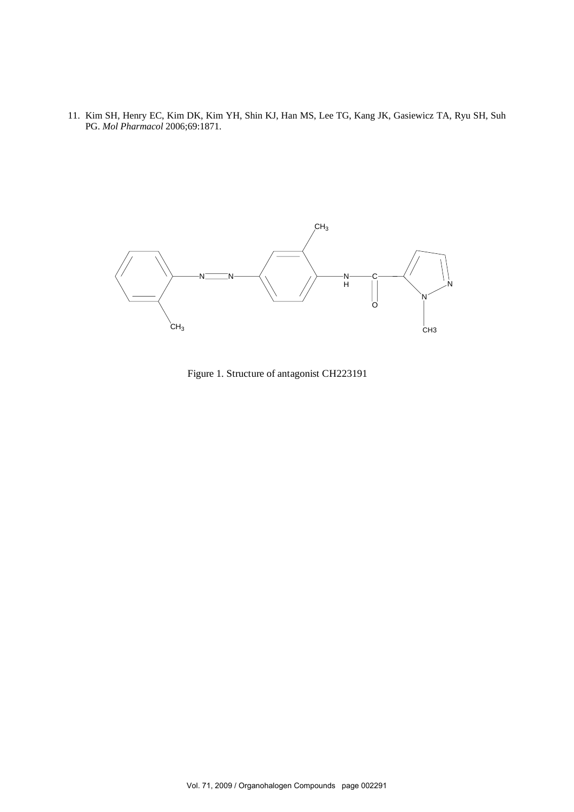11. Kim SH, Henry EC, Kim DK, Kim YH, Shin KJ, Han MS, Lee TG, Kang JK, Gasiewicz TA, Ryu SH, Suh PG. *Mol Pharmacol* 2006;69:1871.



Figure 1. Structure of antagonist CH223191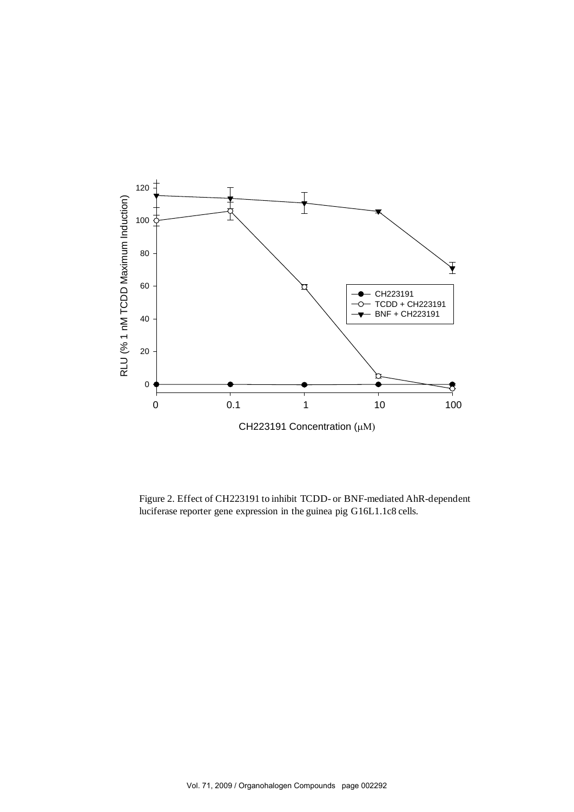

Figure 2. Effect of CH223191 to inhibit TCDD- or BNF-mediated AhR-dependent luciferase reporter gene expression in the guinea pig G16L1.1c8 cells.